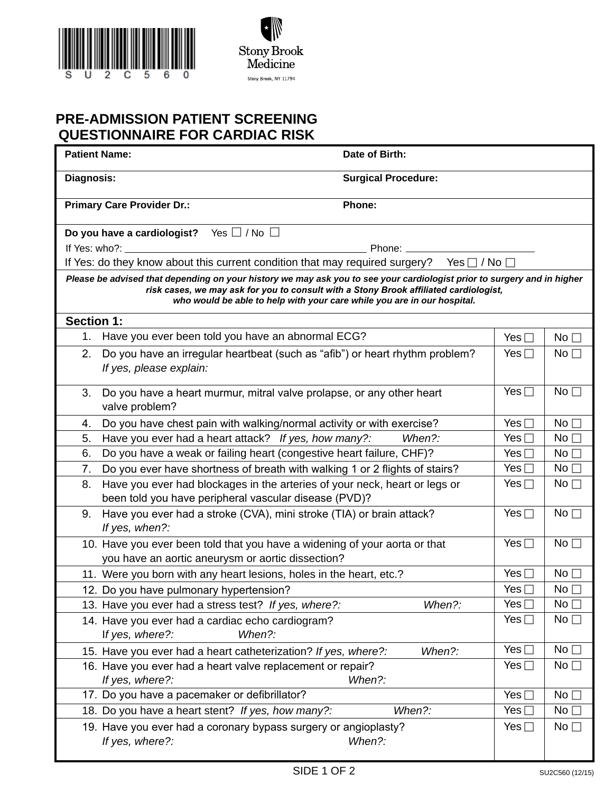



## **PRE-ADMISSION PATIENT SCREENING QUESTIONNAIRE FOR CARDIAC RISK**

|                                                                                                                                                                                                                                                                                             | <b>Patient Name:</b>                                                                                                                | Date of Birth:                                                       |               |                 |  |  |  |  |  |  |
|---------------------------------------------------------------------------------------------------------------------------------------------------------------------------------------------------------------------------------------------------------------------------------------------|-------------------------------------------------------------------------------------------------------------------------------------|----------------------------------------------------------------------|---------------|-----------------|--|--|--|--|--|--|
| Diagnosis:                                                                                                                                                                                                                                                                                  |                                                                                                                                     | <b>Surgical Procedure:</b>                                           |               |                 |  |  |  |  |  |  |
|                                                                                                                                                                                                                                                                                             | <b>Primary Care Provider Dr.:</b>                                                                                                   | Phone:                                                               |               |                 |  |  |  |  |  |  |
|                                                                                                                                                                                                                                                                                             | Yes $\Box$ / No $\Box$<br>Do you have a cardiologist?                                                                               |                                                                      |               |                 |  |  |  |  |  |  |
|                                                                                                                                                                                                                                                                                             | If Yes: who?:<br>Phone: ______                                                                                                      |                                                                      |               |                 |  |  |  |  |  |  |
|                                                                                                                                                                                                                                                                                             | If Yes: do they know about this current condition that may required surgery? Yes $\Box$ / No $\Box$                                 |                                                                      |               |                 |  |  |  |  |  |  |
| Please be advised that depending on your history we may ask you to see your cardiologist prior to surgery and in higher<br>risk cases, we may ask for you to consult with a Stony Brook affiliated cardiologist,<br>who would be able to help with your care while you are in our hospital. |                                                                                                                                     |                                                                      |               |                 |  |  |  |  |  |  |
| <b>Section 1:</b>                                                                                                                                                                                                                                                                           |                                                                                                                                     |                                                                      |               |                 |  |  |  |  |  |  |
| 1.                                                                                                                                                                                                                                                                                          | Have you ever been told you have an abnormal ECG?                                                                                   |                                                                      | Yes $\Box$    | No              |  |  |  |  |  |  |
| 2.                                                                                                                                                                                                                                                                                          | Do you have an irregular heartbeat (such as "afib") or heart rhythm problem?<br>If yes, please explain:                             |                                                                      | Yes $\Box$    | No <sub>1</sub> |  |  |  |  |  |  |
| 3.                                                                                                                                                                                                                                                                                          | Do you have a heart murmur, mitral valve prolapse, or any other heart<br>valve problem?                                             |                                                                      | Yes $\Box$    | No              |  |  |  |  |  |  |
| 4.                                                                                                                                                                                                                                                                                          | Do you have chest pain with walking/normal activity or with exercise?                                                               |                                                                      | Yes $\Box$    | $No \sqcap$     |  |  |  |  |  |  |
| 5.                                                                                                                                                                                                                                                                                          | Have you ever had a heart attack? If yes, how many?:                                                                                | When?:                                                               | Yes $\Box$    | No $\square$    |  |  |  |  |  |  |
| 6.                                                                                                                                                                                                                                                                                          | Do you have a weak or failing heart (congestive heart failure, CHF)?                                                                |                                                                      | Yes $\Box$    | No $\square$    |  |  |  |  |  |  |
| 7.                                                                                                                                                                                                                                                                                          | Do you ever have shortness of breath with walking 1 or 2 flights of stairs?                                                         |                                                                      | Yes $\Box$    | No $\square$    |  |  |  |  |  |  |
| 8.                                                                                                                                                                                                                                                                                          | Have you ever had blockages in the arteries of your neck, heart or legs or<br>been told you have peripheral vascular disease (PVD)? |                                                                      | Yes $\square$ | No $\square$    |  |  |  |  |  |  |
| 9.                                                                                                                                                                                                                                                                                          | If yes, when?:                                                                                                                      | Have you ever had a stroke (CVA), mini stroke (TIA) or brain attack? |               |                 |  |  |  |  |  |  |
|                                                                                                                                                                                                                                                                                             | 10. Have you ever been told that you have a widening of your aorta or that<br>you have an aortic aneurysm or aortic dissection?     |                                                                      | Yes $\square$ | No              |  |  |  |  |  |  |
|                                                                                                                                                                                                                                                                                             | 11. Were you born with any heart lesions, holes in the heart, etc.?                                                                 |                                                                      | Yes $\Box$    | $No \sqcap$     |  |  |  |  |  |  |
|                                                                                                                                                                                                                                                                                             | 12. Do you have pulmonary hypertension?                                                                                             |                                                                      | Yes $\Box$    | No $\square$    |  |  |  |  |  |  |
|                                                                                                                                                                                                                                                                                             | 13. Have you ever had a stress test? If yes, where?:                                                                                | When?:                                                               | Yes $\Box$    | $No$ $\Box$     |  |  |  |  |  |  |
|                                                                                                                                                                                                                                                                                             | 14. Have you ever had a cardiac echo cardiogram?<br>If yes, where?:<br>When?:                                                       |                                                                      | Yes $\square$ | $No$ $\Box$     |  |  |  |  |  |  |
|                                                                                                                                                                                                                                                                                             | 15. Have you ever had a heart catheterization? If yes, where?:                                                                      | When?:                                                               | Yes $\Box$    | No              |  |  |  |  |  |  |
| 16. Have you ever had a heart valve replacement or repair?                                                                                                                                                                                                                                  | Yes $\square$                                                                                                                       | No $\square$                                                         |               |                 |  |  |  |  |  |  |
|                                                                                                                                                                                                                                                                                             | 17. Do you have a pacemaker or defibrillator?                                                                                       |                                                                      | Yes $\Box$    | No              |  |  |  |  |  |  |
|                                                                                                                                                                                                                                                                                             | 18. Do you have a heart stent? If yes, how many?:                                                                                   | When?:                                                               | Yes $\Box$    | No              |  |  |  |  |  |  |
|                                                                                                                                                                                                                                                                                             | 19. Have you ever had a coronary bypass surgery or angioplasty?<br>If yes, where?:                                                  | When?:                                                               | Yes $\Box$    | No $\square$    |  |  |  |  |  |  |